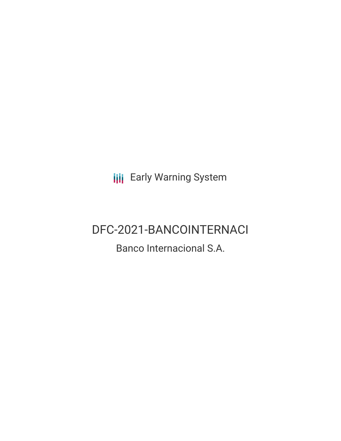**III** Early Warning System

# DFC-2021-BANCOINTERNACI

# Banco Internacional S.A.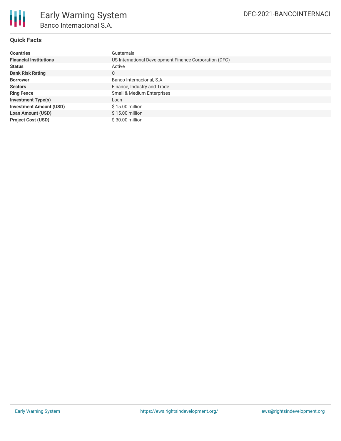

## **Quick Facts**

| <b>Countries</b>               | Guatemala                                              |
|--------------------------------|--------------------------------------------------------|
| <b>Financial Institutions</b>  | US International Development Finance Corporation (DFC) |
| <b>Status</b>                  | Active                                                 |
| <b>Bank Risk Rating</b>        | C                                                      |
| <b>Borrower</b>                | Banco Internacional, S.A.                              |
| <b>Sectors</b>                 | Finance, Industry and Trade                            |
| <b>Ring Fence</b>              | Small & Medium Enterprises                             |
| <b>Investment Type(s)</b>      | Loan                                                   |
| <b>Investment Amount (USD)</b> | \$15.00 million                                        |
| <b>Loan Amount (USD)</b>       | $$15.00$ million                                       |
| <b>Project Cost (USD)</b>      | \$30.00 million                                        |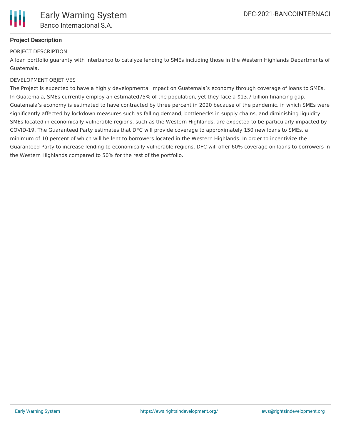

# **Project Description**

#### PORJECT DESCRIPTION

A loan portfolio guaranty with Interbanco to catalyze lending to SMEs including those in the Western Highlands Departments of Guatemala.

#### DEVELOPMENT OBJETIVES

The Project is expected to have a highly developmental impact on Guatemala's economy through coverage of loans to SMEs. In Guatemala, SMEs currently employ an estimated75% of the population, yet they face a \$13.7 billion financing gap. Guatemala's economy is estimated to have contracted by three percent in 2020 because of the pandemic, in which SMEs were significantly affected by lockdown measures such as falling demand, bottlenecks in supply chains, and diminishing liquidity. SMEs located in economically vulnerable regions, such as the Western Highlands, are expected to be particularly impacted by COVID-19. The Guaranteed Party estimates that DFC will provide coverage to approximately 150 new loans to SMEs, a minimum of 10 percent of which will be lent to borrowers located in the Western Highlands. In order to incentivize the Guaranteed Party to increase lending to economically vulnerable regions, DFC will offer 60% coverage on loans to borrowers in the Western Highlands compared to 50% for the rest of the portfolio.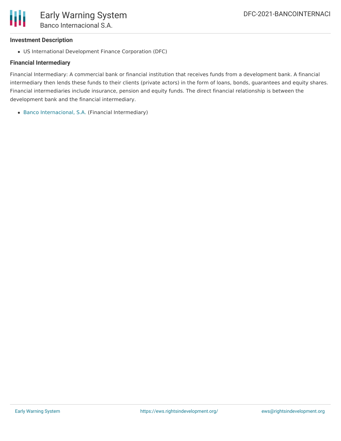

#### **Investment Description**

US International Development Finance Corporation (DFC)

#### **Financial Intermediary**

Financial Intermediary: A commercial bank or financial institution that receives funds from a development bank. A financial intermediary then lends these funds to their clients (private actors) in the form of loans, bonds, guarantees and equity shares. Financial intermediaries include insurance, pension and equity funds. The direct financial relationship is between the development bank and the financial intermediary.

Banco [Internacional,](file:///actor/217/) S.A. (Financial Intermediary)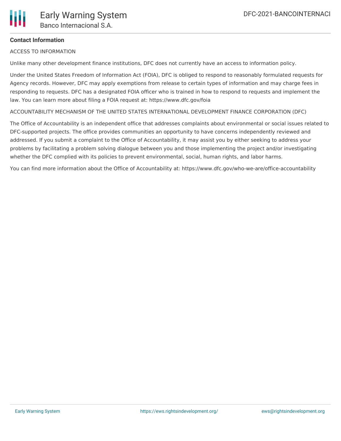

## **Contact Information**

ACCESS TO INFORMATION

Unlike many other development finance institutions, DFC does not currently have an access to information policy.

Under the United States Freedom of Information Act (FOIA), DFC is obliged to respond to reasonably formulated requests for Agency records. However, DFC may apply exemptions from release to certain types of information and may charge fees in responding to requests. DFC has a designated FOIA officer who is trained in how to respond to requests and implement the law. You can learn more about filing a FOIA request at: https://www.dfc.gov/foia

ACCOUNTABILITY MECHANISM OF THE UNITED STATES INTERNATIONAL DEVELOPMENT FINANCE CORPORATION (DFC)

The Office of Accountability is an independent office that addresses complaints about environmental or social issues related to DFC-supported projects. The office provides communities an opportunity to have concerns independently reviewed and addressed. If you submit a complaint to the Office of Accountability, it may assist you by either seeking to address your problems by facilitating a problem solving dialogue between you and those implementing the project and/or investigating whether the DFC complied with its policies to prevent environmental, social, human rights, and labor harms.

You can find more information about the Office of Accountability at: https://www.dfc.gov/who-we-are/office-accountability